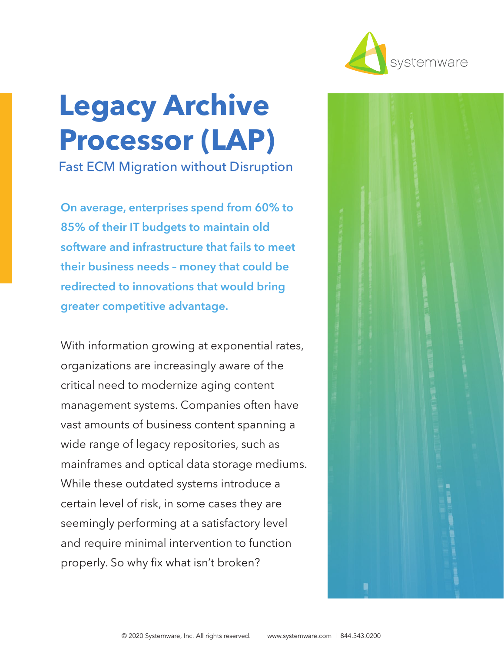

# **Legacy Archive Processor (LAP)**

Fast ECM Migration without Disruption

**On average, enterprises spend from 60% to 85% of their IT budgets to maintain old software and infrastructure that fails to meet their business needs – money that could be redirected to innovations that would bring greater competitive advantage.** 

With information growing at exponential rates, organizations are increasingly aware of the critical need to modernize aging content management systems. Companies often have vast amounts of business content spanning a wide range of legacy repositories, such as mainframes and optical data storage mediums. While these outdated systems introduce a certain level of risk, in some cases they are seemingly performing at a satisfactory level and require minimal intervention to function properly. So why fix what isn't broken?

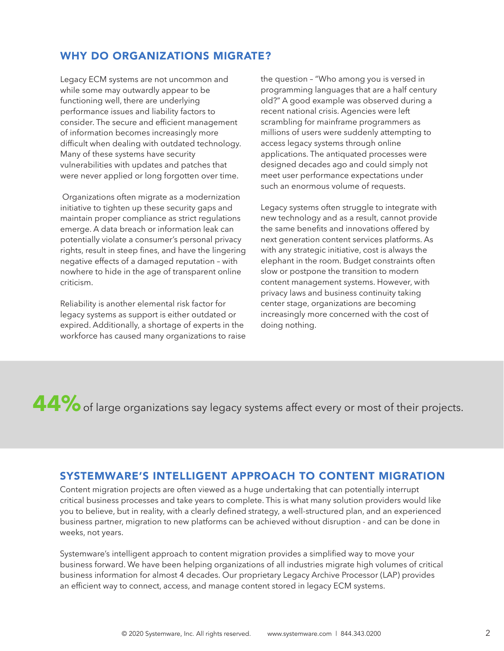# WHY DO ORGANIZATIONS MIGRATE?

Legacy ECM systems are not uncommon and while some may outwardly appear to be functioning well, there are underlying performance issues and liability factors to consider. The secure and efficient management of information becomes increasingly more difficult when dealing with outdated technology. Many of these systems have security vulnerabilities with updates and patches that were never applied or long forgotten over time.

 Organizations often migrate as a modernization initiative to tighten up these security gaps and maintain proper compliance as strict regulations emerge. A data breach or information leak can potentially violate a consumer's personal privacy rights, result in steep fines, and have the lingering negative effects of a damaged reputation – with nowhere to hide in the age of transparent online criticism.

Reliability is another elemental risk factor for legacy systems as support is either outdated or expired. Additionally, a shortage of experts in the workforce has caused many organizations to raise the question – "Who among you is versed in programming languages that are a half century old?" A good example was observed during a recent national crisis. Agencies were left scrambling for mainframe programmers as millions of users were suddenly attempting to access legacy systems through online applications. The antiquated processes were designed decades ago and could simply not meet user performance expectations under such an enormous volume of requests.

Legacy systems often struggle to integrate with new technology and as a result, cannot provide the same benefits and innovations offered by next generation content services platforms. As with any strategic initiative, cost is always the elephant in the room. Budget constraints often slow or postpone the transition to modern content management systems. However, with privacy laws and business continuity taking center stage, organizations are becoming increasingly more concerned with the cost of doing nothing.

# **44%** of large organizations say legacy systems affect every or most of their projects.

## SYSTEMWARE'S INTELLIGENT APPROACH TO CONTENT MIGRATION

Content migration projects are often viewed as a huge undertaking that can potentially interrupt critical business processes and take years to complete. This is what many solution providers would like you to believe, but in reality, with a clearly defined strategy, a well-structured plan, and an experienced business partner, migration to new platforms can be achieved without disruption - and can be done in weeks, not years.

Systemware's intelligent approach to content migration provides a simplified way to move your business forward. We have been helping organizations of all industries migrate high volumes of critical business information for almost 4 decades. Our proprietary Legacy Archive Processor (LAP) provides an efficient way to connect, access, and manage content stored in legacy ECM systems.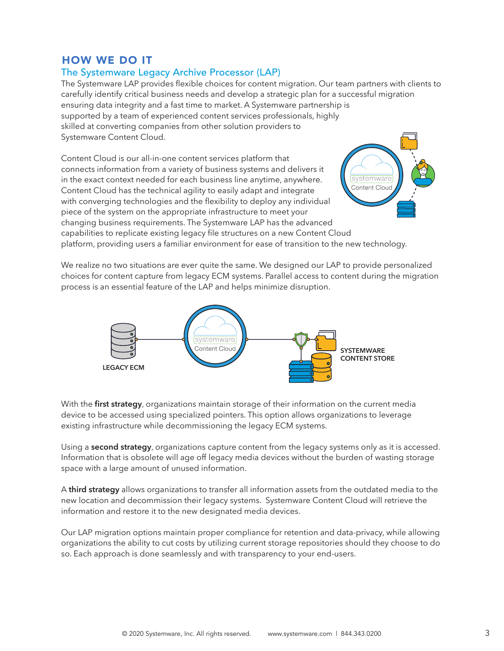## HOW WE DO IT

#### The Systemware Legacy Archive Processor (LAP)

The Systemware LAP provides flexible choices for content migration. Our team partners with clients to carefully identify critical business needs and develop a strategic plan for a successful migration ensuring data integrity and a fast time to market. A Systemware partnership is supported by a team of experienced content services professionals, highly skilled at converting companies from other solution providers to Systemware Content Cloud.

Content Cloud is our all-in-one content services platform that connects information from a variety of business systems and delivers it in the exact context needed for each business line anytime, anywhere. Content Cloud has the technical agility to easily adapt and integrate with converging technologies and the flexibility to deploy any individual piece of the system on the appropriate infrastructure to meet your changing business requirements. The Systemware LAP has the advanced capabilities to replicate existing legacy file structures on a new Content Cloud platform, providing users a familiar environment for ease of transition to the new technology.



We realize no two situations are ever quite the same. We designed our LAP to provide personalized choices for content capture from legacy ECM systems. Parallel access to content during the migration process is an essential feature of the LAP and helps minimize disruption.



With the **first strategy**, organizations maintain storage of their information on the current media device to be accessed using specialized pointers. This option allows organizations to leverage existing infrastructure while decommissioning the legacy ECM systems.

Using a **second strategy**, organizations capture content from the legacy systems only as it is accessed. Information that is obsolete will age off legacy media devices without the burden of wasting storage space with a large amount of unused information.

A **third strategy** allows organizations to transfer all information assets from the outdated media to the new location and decommission their legacy systems. Systemware Content Cloud will retrieve the information and restore it to the new designated media devices.

Our LAP migration options maintain proper compliance for retention and data-privacy, while allowing organizations the ability to cut costs by utilizing current storage repositories should they choose to do so. Each approach is done seamlessly and with transparency to your end-users.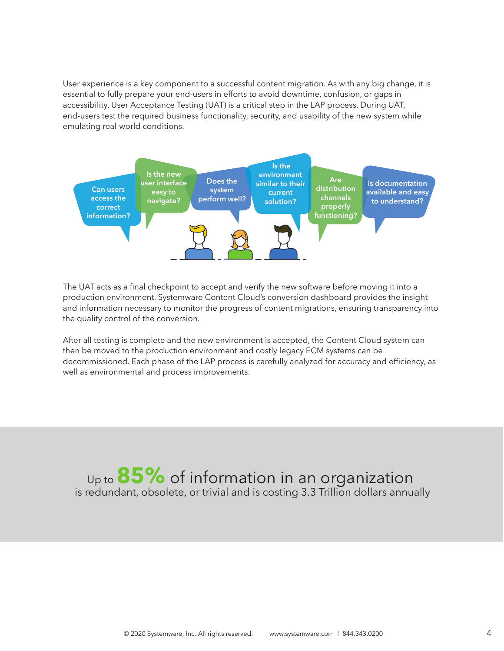User experience is a key component to a successful content migration. As with any big change, it is essential to fully prepare your end-users in efforts to avoid downtime, confusion, or gaps in accessibility. User Acceptance Testing (UAT) is a critical step in the LAP process. During UAT, end-users test the required business functionality, security, and usability of the new system while emulating real-world conditions.



The UAT acts as a final checkpoint to accept and verify the new software before moving it into a production environment. Systemware Content Cloud's conversion dashboard provides the insight and information necessary to monitor the progress of content migrations, ensuring transparency into the quality control of the conversion.

After all testing is complete and the new environment is accepted, the Content Cloud system can then be moved to the production environment and costly legacy ECM systems can be decommissioned. Each phase of the LAP process is carefully analyzed for accuracy and efficiency, as well as environmental and process improvements.

Up to **85%** of information in an organization is redundant, obsolete, or trivial and is costing 3.3 Trillion dollars annually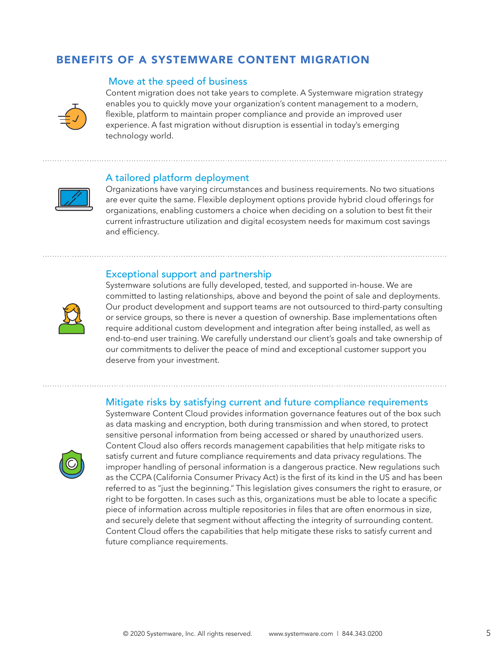# BENEFITS OF A SYSTEMWARE CONTENT MIGRATION

#### Move at the speed of business



Content migration does not take years to complete. A Systemware migration strategy enables you to quickly move your organization's content management to a modern, flexible, platform to maintain proper compliance and provide an improved user experience. A fast migration without disruption is essential in today's emerging technology world.

#### A tailored platform deployment



Organizations have varying circumstances and business requirements. No two situations are ever quite the same. Flexible deployment options provide hybrid cloud offerings for organizations, enabling customers a choice when deciding on a solution to best fit their current infrastructure utilization and digital ecosystem needs for maximum cost savings and efficiency.

#### Exceptional support and partnership



Systemware solutions are fully developed, tested, and supported in-house. We are committed to lasting relationships, above and beyond the point of sale and deployments. Our product development and support teams are not outsourced to third-party consulting or service groups, so there is never a question of ownership. Base implementations often require additional custom development and integration after being installed, as well as end-to-end user training. We carefully understand our client's goals and take ownership of our commitments to deliver the peace of mind and exceptional customer support you deserve from your investment.

#### Mitigate risks by satisfying current and future compliance requirements



Systemware Content Cloud provides information governance features out of the box such as data masking and encryption, both during transmission and when stored, to protect sensitive personal information from being accessed or shared by unauthorized users. Content Cloud also offers records management capabilities that help mitigate risks to satisfy current and future compliance requirements and data privacy regulations. The improper handling of personal information is a dangerous practice. New regulations such as the CCPA (California Consumer Privacy Act) is the first of its kind in the US and has been referred to as "just the beginning." This legislation gives consumers the right to erasure, or right to be forgotten. In cases such as this, organizations must be able to locate a specific piece of information across multiple repositories in files that are often enormous in size, and securely delete that segment without affecting the integrity of surrounding content. Content Cloud offers the capabilities that help mitigate these risks to satisfy current and future compliance requirements.